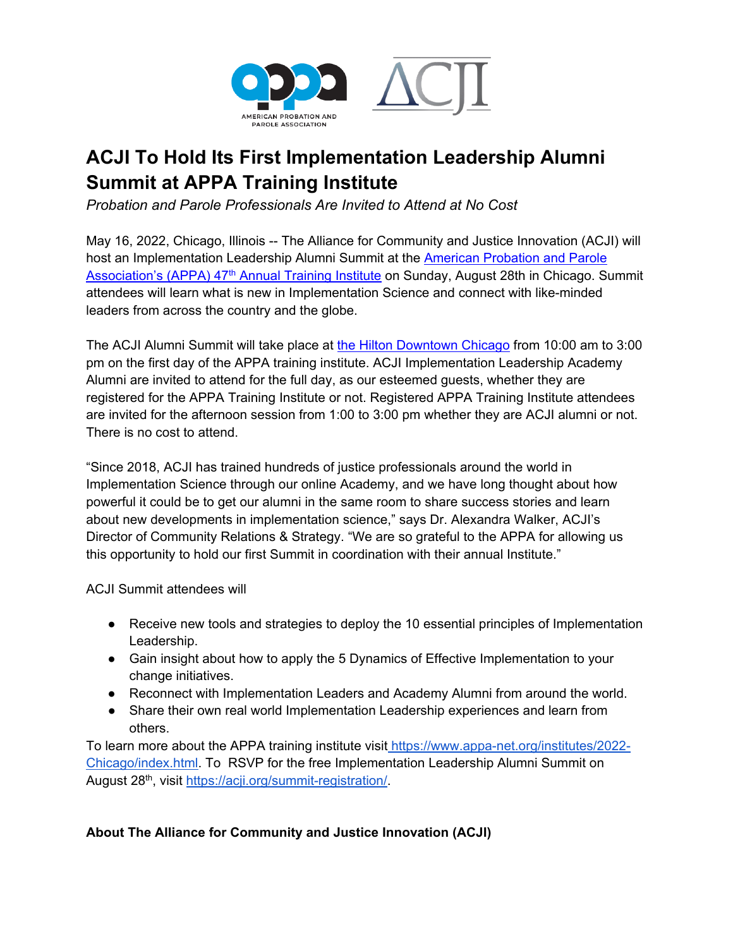

## **ACJI To Hold Its First Implementation Leadership Alumni Summit at APPA Training Institute**

*Probation and Parole Professionals Are Invited to Attend at No Cost*

May 16, 2022, Chicago, Illinois -- The Alliance for Community and Justice Innovation (ACJI) will host an Implementation Leadership Alumni Summit at the [American Probation and Parole](https://www.appa-net.org/institutes/2022-Chicago/index.html)  Association's (APPA) 47<sup>th</sup> Annual Training Institute on Sunday, August 28th in Chicago. Summit attendees will learn what is new in Implementation Science and connect with like-minded leaders from across the country and the globe.

The ACJI Alumni Summit will take place at [the Hilton Downtown Chicago](https://book.passkey.com/gt/218395965?gtid=e8676071be2861d1d6cc00530c76ab91) from 10:00 am to 3:00 pm on the first day of the APPA training institute. ACJI Implementation Leadership Academy Alumni are invited to attend for the full day, as our esteemed guests, whether they are registered for the APPA Training Institute or not. Registered APPA Training Institute attendees are invited for the afternoon session from 1:00 to 3:00 pm whether they are ACJI alumni or not. There is no cost to attend.

"Since 2018, ACJI has trained hundreds of justice professionals around the world in Implementation Science through our online Academy, and we have long thought about how powerful it could be to get our alumni in the same room to share success stories and learn about new developments in implementation science," says Dr. Alexandra Walker, ACJI's Director of Community Relations & Strategy. "We are so grateful to the APPA for allowing us this opportunity to hold our first Summit in coordination with their annual Institute."

ACJI Summit attendees will

- Receive new tools and strategies to deploy the 10 essential principles of Implementation Leadership.
- Gain insight about how to apply the 5 Dynamics of Effective Implementation to your change initiatives.
- Reconnect with Implementation Leaders and Academy Alumni from around the world.
- Share their own real world Implementation Leadership experiences and learn from others.

To learn more about the APPA training institute visit [https://www.appa-net.org/institutes/2022-](https://www.appa-net.org/institutes/2022-Chicago/index.html) [Chicago/index.html.](https://www.appa-net.org/institutes/2022-Chicago/index.html) To RSVP for the free Implementation Leadership Alumni Summit on August 28<sup>th</sup>, visit [https://acji.org/summit-registration/.](https://acji.org/summit-registration/)

## **About The Alliance for Community and Justice Innovation (ACJI)**